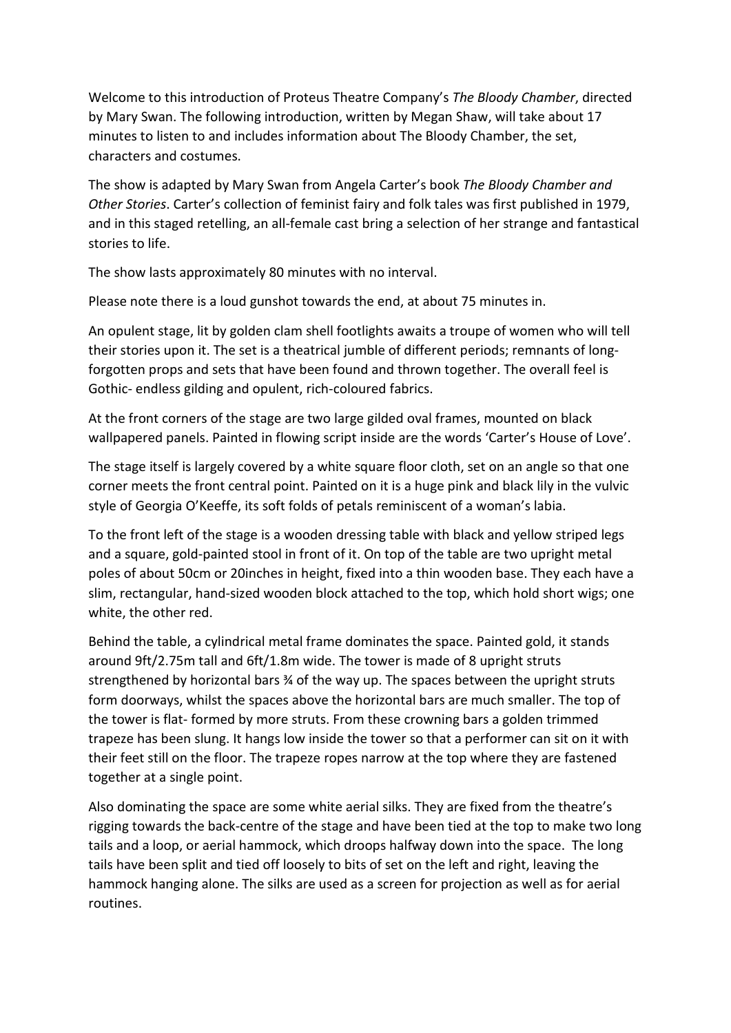Welcome to this introduction of Proteus Theatre Company's *The Bloody Chamber*, directed by Mary Swan. The following introduction, written by Megan Shaw, will take about 17 minutes to listen to and includes information about The Bloody Chamber, the set, characters and costumes.

The show is adapted by Mary Swan from Angela Carter's book *The Bloody Chamber and Other Stories*. Carter's collection of feminist fairy and folk tales was first published in 1979, and in this staged retelling, an all-female cast bring a selection of her strange and fantastical stories to life.

The show lasts approximately 80 minutes with no interval.

Please note there is a loud gunshot towards the end, at about 75 minutes in.

An opulent stage, lit by golden clam shell footlights awaits a troupe of women who will tell their stories upon it. The set is a theatrical jumble of different periods; remnants of longforgotten props and sets that have been found and thrown together. The overall feel is Gothic- endless gilding and opulent, rich-coloured fabrics.

At the front corners of the stage are two large gilded oval frames, mounted on black wallpapered panels. Painted in flowing script inside are the words 'Carter's House of Love'.

The stage itself is largely covered by a white square floor cloth, set on an angle so that one corner meets the front central point. Painted on it is a huge pink and black lily in the vulvic style of Georgia O'Keeffe, its soft folds of petals reminiscent of a woman's labia.

To the front left of the stage is a wooden dressing table with black and yellow striped legs and a square, gold-painted stool in front of it. On top of the table are two upright metal poles of about 50cm or 20inches in height, fixed into a thin wooden base. They each have a slim, rectangular, hand-sized wooden block attached to the top, which hold short wigs; one white, the other red.

Behind the table, a cylindrical metal frame dominates the space. Painted gold, it stands around 9ft/2.75m tall and 6ft/1.8m wide. The tower is made of 8 upright struts strengthened by horizontal bars  $\frac{3}{4}$  of the way up. The spaces between the upright struts form doorways, whilst the spaces above the horizontal bars are much smaller. The top of the tower is flat- formed by more struts. From these crowning bars a golden trimmed trapeze has been slung. It hangs low inside the tower so that a performer can sit on it with their feet still on the floor. The trapeze ropes narrow at the top where they are fastened together at a single point.

Also dominating the space are some white aerial silks. They are fixed from the theatre's rigging towards the back-centre of the stage and have been tied at the top to make two long tails and a loop, or aerial hammock, which droops halfway down into the space. The long tails have been split and tied off loosely to bits of set on the left and right, leaving the hammock hanging alone. The silks are used as a screen for projection as well as for aerial routines.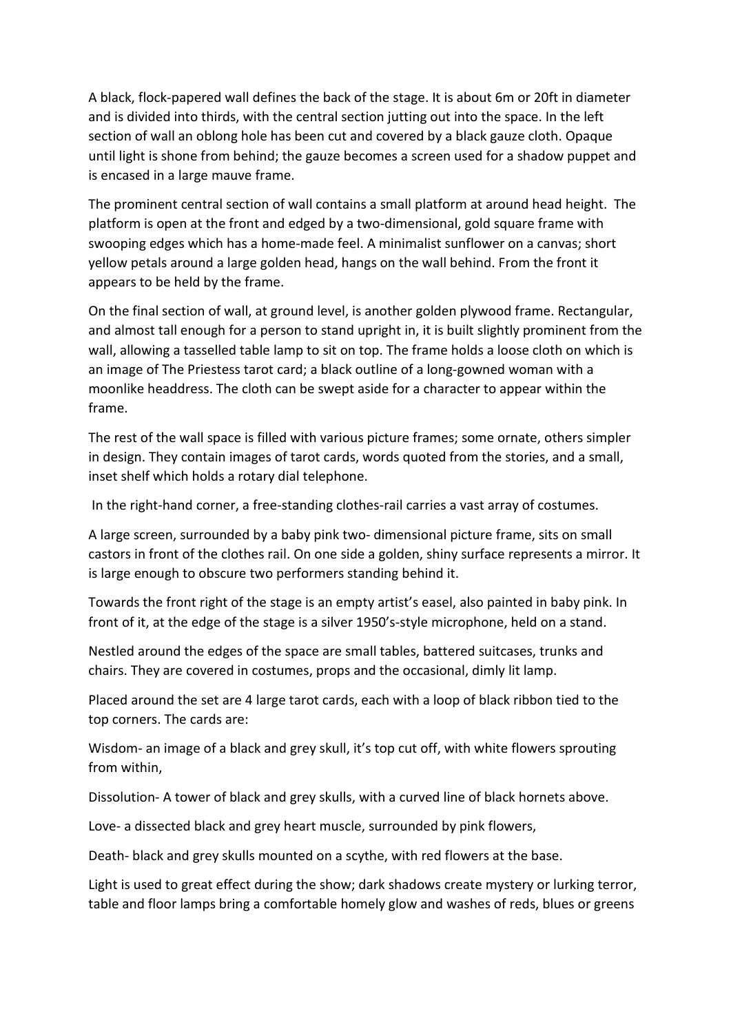A black, flock-papered wall defines the back of the stage. It is about 6m or 20ft in diameter and is divided into thirds, with the central section jutting out into the space. In the left section of wall an oblong hole has been cut and covered by a black gauze cloth. Opaque until light is shone from behind; the gauze becomes a screen used for a shadow puppet and is encased in a large mauve frame.

The prominent central section of wall contains a small platform at around head height. The platform is open at the front and edged by a two-dimensional, gold square frame with swooping edges which has a home-made feel. A minimalist sunflower on a canvas; short yellow petals around a large golden head, hangs on the wall behind. From the front it appears to be held by the frame.

On the final section of wall, at ground level, is another golden plywood frame. Rectangular, and almost tall enough for a person to stand upright in, it is built slightly prominent from the wall, allowing a tasselled table lamp to sit on top. The frame holds a loose cloth on which is an image of The Priestess tarot card; a black outline of a long-gowned woman with a moonlike headdress. The cloth can be swept aside for a character to appear within the frame.

The rest of the wall space is filled with various picture frames; some ornate, others simpler in design. They contain images of tarot cards, words quoted from the stories, and a small, inset shelf which holds a rotary dial telephone.

In the right-hand corner, a free-standing clothes-rail carries a vast array of costumes.

A large screen, surrounded by a baby pink two- dimensional picture frame, sits on small castors in front of the clothes rail. On one side a golden, shiny surface represents a mirror. It is large enough to obscure two performers standing behind it.

Towards the front right of the stage is an empty artist's easel, also painted in baby pink. In front of it, at the edge of the stage is a silver 1950's-style microphone, held on a stand.

Nestled around the edges of the space are small tables, battered suitcases, trunks and chairs. They are covered in costumes, props and the occasional, dimly lit lamp.

Placed around the set are 4 large tarot cards, each with a loop of black ribbon tied to the top corners. The cards are:

Wisdom- an image of a black and grey skull, it's top cut off, with white flowers sprouting from within,

Dissolution- A tower of black and grey skulls, with a curved line of black hornets above.

Love- a dissected black and grey heart muscle, surrounded by pink flowers,

Death- black and grey skulls mounted on a scythe, with red flowers at the base.

Light is used to great effect during the show; dark shadows create mystery or lurking terror, table and floor lamps bring a comfortable homely glow and washes of reds, blues or greens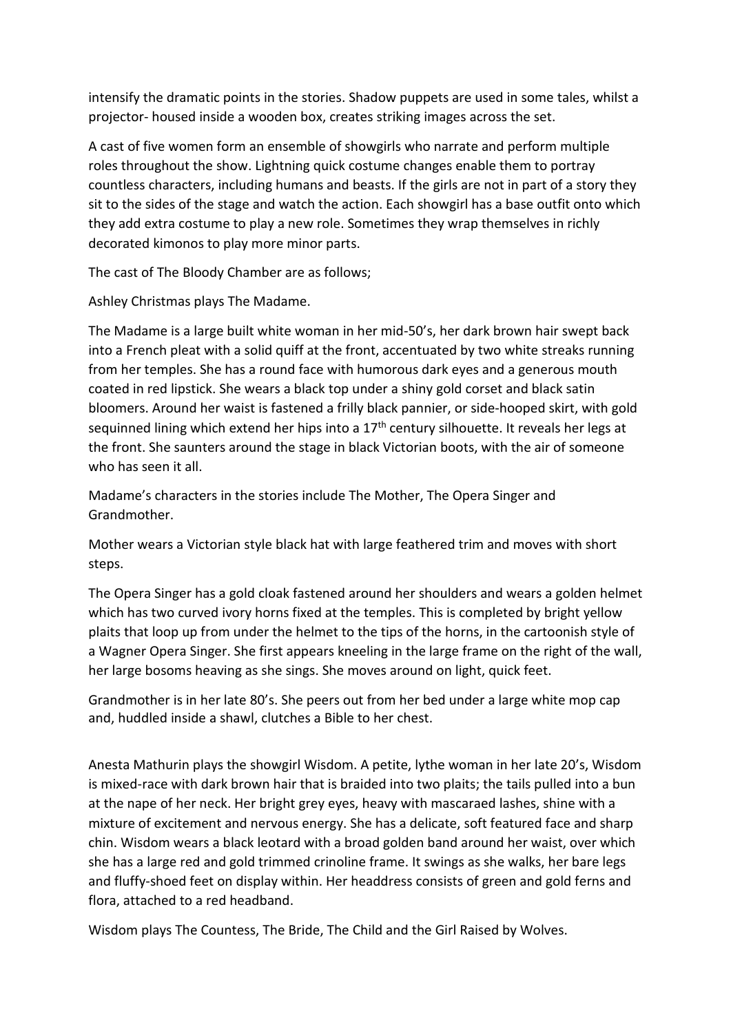intensify the dramatic points in the stories. Shadow puppets are used in some tales, whilst a projector- housed inside a wooden box, creates striking images across the set.

A cast of five women form an ensemble of showgirls who narrate and perform multiple roles throughout the show. Lightning quick costume changes enable them to portray countless characters, including humans and beasts. If the girls are not in part of a story they sit to the sides of the stage and watch the action. Each showgirl has a base outfit onto which they add extra costume to play a new role. Sometimes they wrap themselves in richly decorated kimonos to play more minor parts.

The cast of The Bloody Chamber are as follows;

Ashley Christmas plays The Madame.

The Madame is a large built white woman in her mid-50's, her dark brown hair swept back into a French pleat with a solid quiff at the front, accentuated by two white streaks running from her temples. She has a round face with humorous dark eyes and a generous mouth coated in red lipstick. She wears a black top under a shiny gold corset and black satin bloomers. Around her waist is fastened a frilly black pannier, or side-hooped skirt, with gold sequinned lining which extend her hips into a  $17<sup>th</sup>$  century silhouette. It reveals her legs at the front. She saunters around the stage in black Victorian boots, with the air of someone who has seen it all.

Madame's characters in the stories include The Mother, The Opera Singer and Grandmother.

Mother wears a Victorian style black hat with large feathered trim and moves with short steps.

The Opera Singer has a gold cloak fastened around her shoulders and wears a golden helmet which has two curved ivory horns fixed at the temples. This is completed by bright yellow plaits that loop up from under the helmet to the tips of the horns, in the cartoonish style of a Wagner Opera Singer. She first appears kneeling in the large frame on the right of the wall, her large bosoms heaving as she sings. She moves around on light, quick feet.

Grandmother is in her late 80's. She peers out from her bed under a large white mop cap and, huddled inside a shawl, clutches a Bible to her chest.

Anesta Mathurin plays the showgirl Wisdom. A petite, lythe woman in her late 20's, Wisdom is mixed-race with dark brown hair that is braided into two plaits; the tails pulled into a bun at the nape of her neck. Her bright grey eyes, heavy with mascaraed lashes, shine with a mixture of excitement and nervous energy. She has a delicate, soft featured face and sharp chin. Wisdom wears a black leotard with a broad golden band around her waist, over which she has a large red and gold trimmed crinoline frame. It swings as she walks, her bare legs and fluffy-shoed feet on display within. Her headdress consists of green and gold ferns and flora, attached to a red headband.

Wisdom plays The Countess, The Bride, The Child and the Girl Raised by Wolves.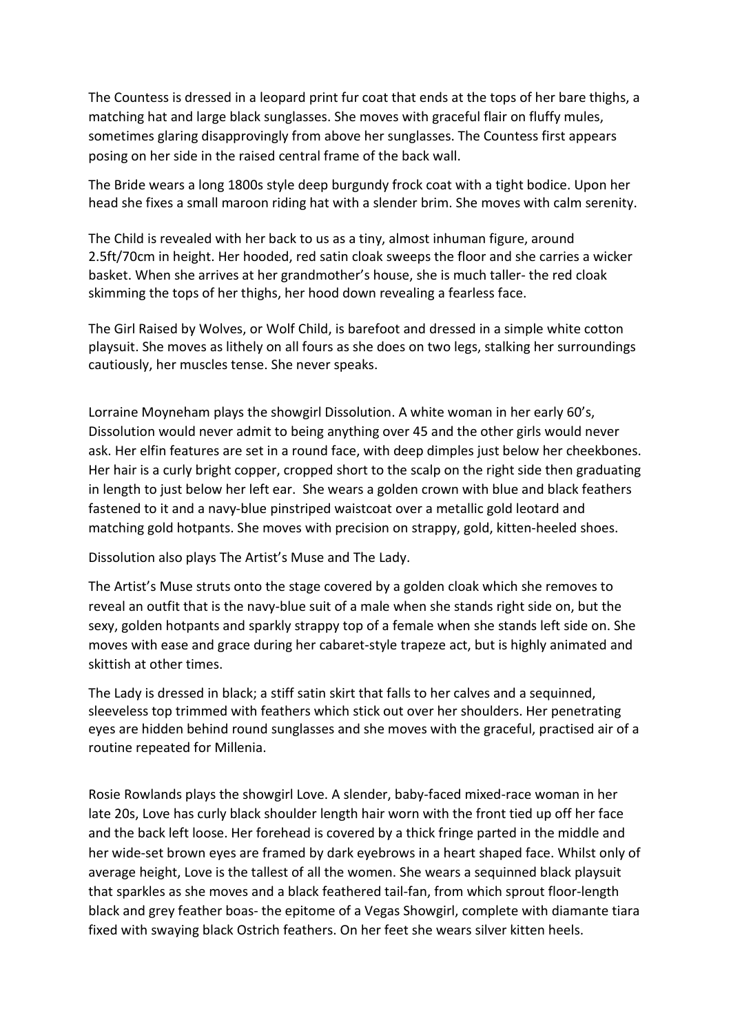The Countess is dressed in a leopard print fur coat that ends at the tops of her bare thighs, a matching hat and large black sunglasses. She moves with graceful flair on fluffy mules, sometimes glaring disapprovingly from above her sunglasses. The Countess first appears posing on her side in the raised central frame of the back wall.

The Bride wears a long 1800s style deep burgundy frock coat with a tight bodice. Upon her head she fixes a small maroon riding hat with a slender brim. She moves with calm serenity.

The Child is revealed with her back to us as a tiny, almost inhuman figure, around 2.5ft/70cm in height. Her hooded, red satin cloak sweeps the floor and she carries a wicker basket. When she arrives at her grandmother's house, she is much taller- the red cloak skimming the tops of her thighs, her hood down revealing a fearless face.

The Girl Raised by Wolves, or Wolf Child, is barefoot and dressed in a simple white cotton playsuit. She moves as lithely on all fours as she does on two legs, stalking her surroundings cautiously, her muscles tense. She never speaks.

Lorraine Moyneham plays the showgirl Dissolution. A white woman in her early 60's, Dissolution would never admit to being anything over 45 and the other girls would never ask. Her elfin features are set in a round face, with deep dimples just below her cheekbones. Her hair is a curly bright copper, cropped short to the scalp on the right side then graduating in length to just below her left ear. She wears a golden crown with blue and black feathers fastened to it and a navy-blue pinstriped waistcoat over a metallic gold leotard and matching gold hotpants. She moves with precision on strappy, gold, kitten-heeled shoes.

Dissolution also plays The Artist's Muse and The Lady.

The Artist's Muse struts onto the stage covered by a golden cloak which she removes to reveal an outfit that is the navy-blue suit of a male when she stands right side on, but the sexy, golden hotpants and sparkly strappy top of a female when she stands left side on. She moves with ease and grace during her cabaret-style trapeze act, but is highly animated and skittish at other times.

The Lady is dressed in black; a stiff satin skirt that falls to her calves and a sequinned, sleeveless top trimmed with feathers which stick out over her shoulders. Her penetrating eyes are hidden behind round sunglasses and she moves with the graceful, practised air of a routine repeated for Millenia.

Rosie Rowlands plays the showgirl Love. A slender, baby-faced mixed-race woman in her late 20s, Love has curly black shoulder length hair worn with the front tied up off her face and the back left loose. Her forehead is covered by a thick fringe parted in the middle and her wide-set brown eyes are framed by dark eyebrows in a heart shaped face. Whilst only of average height, Love is the tallest of all the women. She wears a sequinned black playsuit that sparkles as she moves and a black feathered tail-fan, from which sprout floor-length black and grey feather boas- the epitome of a Vegas Showgirl, complete with diamante tiara fixed with swaying black Ostrich feathers. On her feet she wears silver kitten heels.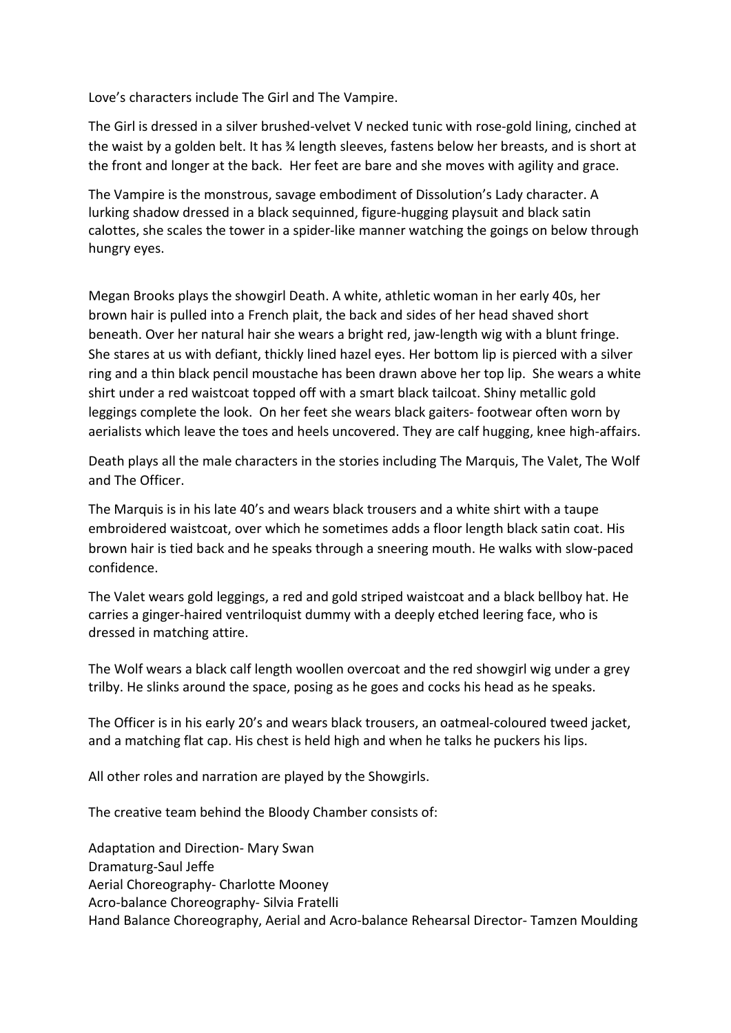Love's characters include The Girl and The Vampire.

The Girl is dressed in a silver brushed-velvet V necked tunic with rose-gold lining, cinched at the waist by a golden belt. It has ¾ length sleeves, fastens below her breasts, and is short at the front and longer at the back. Her feet are bare and she moves with agility and grace.

The Vampire is the monstrous, savage embodiment of Dissolution's Lady character. A lurking shadow dressed in a black sequinned, figure-hugging playsuit and black satin calottes, she scales the tower in a spider-like manner watching the goings on below through hungry eyes.

Megan Brooks plays the showgirl Death. A white, athletic woman in her early 40s, her brown hair is pulled into a French plait, the back and sides of her head shaved short beneath. Over her natural hair she wears a bright red, jaw-length wig with a blunt fringe. She stares at us with defiant, thickly lined hazel eyes. Her bottom lip is pierced with a silver ring and a thin black pencil moustache has been drawn above her top lip. She wears a white shirt under a red waistcoat topped off with a smart black tailcoat. Shiny metallic gold leggings complete the look. On her feet she wears black gaiters- footwear often worn by aerialists which leave the toes and heels uncovered. They are calf hugging, knee high-affairs.

Death plays all the male characters in the stories including The Marquis, The Valet, The Wolf and The Officer.

The Marquis is in his late 40's and wears black trousers and a white shirt with a taupe embroidered waistcoat, over which he sometimes adds a floor length black satin coat. His brown hair is tied back and he speaks through a sneering mouth. He walks with slow-paced confidence.

The Valet wears gold leggings, a red and gold striped waistcoat and a black bellboy hat. He carries a ginger-haired ventriloquist dummy with a deeply etched leering face, who is dressed in matching attire.

The Wolf wears a black calf length woollen overcoat and the red showgirl wig under a grey trilby. He slinks around the space, posing as he goes and cocks his head as he speaks.

The Officer is in his early 20's and wears black trousers, an oatmeal-coloured tweed jacket, and a matching flat cap. His chest is held high and when he talks he puckers his lips.

All other roles and narration are played by the Showgirls.

The creative team behind the Bloody Chamber consists of:

Adaptation and Direction- Mary Swan Dramaturg-Saul Jeffe Aerial Choreography- Charlotte Mooney Acro-balance Choreography- Silvia Fratelli Hand Balance Choreography, Aerial and Acro-balance Rehearsal Director- Tamzen Moulding